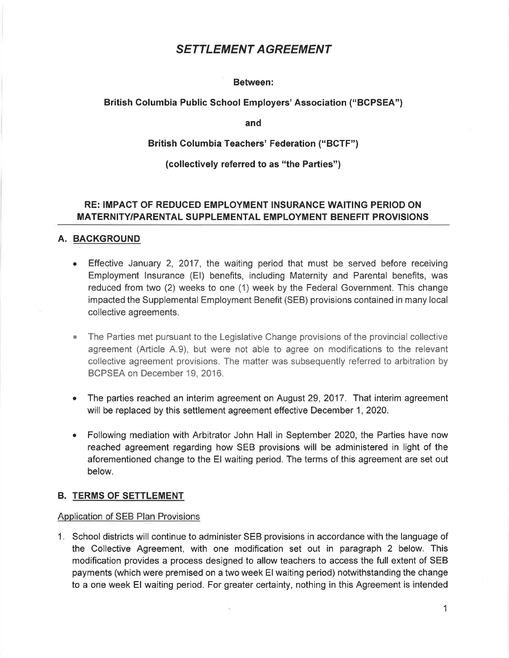# SETTLEMENT AGREEMENT

### Between:

## British Columbia Public School Employers' Association ("BGPSEA")

and

## British Columbia Teachers' Federation ("BCTF")

## (collectively referred to as "the Parties")

# RE: IMPAGT OF REDUCED EMPLOYMENT INSURANCE WAITING PERIOD ON MATERNITY/PARENTAL SUPPLEMENTAL EMPLOYMENT BENEFIT PROVISIONS

## A. BACKGROUND

- Effective January 2, 2017, the waiting period that must be served before receiving Employment lnsurance (El) benefits, including Maternity and Parental benefits, was reduced from two (2) weeks to one (1) week by the Federal Government. This change impacted the Supplemental Employment Benefit (SEB) provisions contained in many local collective agreements.
- The Parties met pursuant to the Legislative Change provisions of the provincial collective agreement (Article A.9), but were not able to agree on modifications to the relevant collective agreement provisions. The matter was subsequently referred to arbitration by BCPSEA on December 19, 2Q16.
- The parties reached an interim agreement on August 29,2017. That interim agreement will be replaced by this settlement agreement effective December 1, 2020.  $\bullet$
- Following mediation with Arbitrator John Hall in September 2020, the Parties have now a reached agreement regarding how SEB provisions will be administered in light of the aforementioned change to the El waiting period. The terms of this agreement are set out below.

### B. TERMS OF SETTLEMENT

### Application of SEB Plan Provisions

1. School districts will continue to administer SEB provisions in accordance with the language of the Collective Agreement, with one modification set out in paragraph 2 below. This modification provides a process designed to allow teachers to access the full extent of SEB payments (which were premised on a two week El waiting period) notwithstanding the change to a one week El waiting period. For greater certainty, nothing in this Agreement is intended

1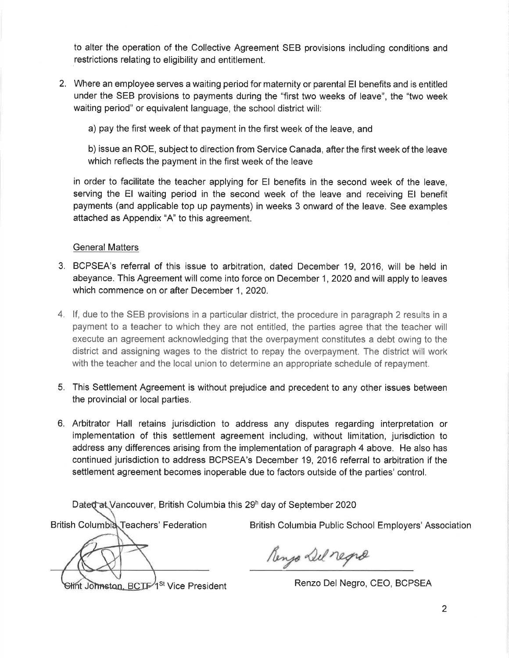to alter the operation of the Collective Agreement SEB provisions including conditions and restrictions relating to eligibility and entitlement.

2. Where an employee serves a waiting period for maternity or parental El benefits and is entitled under the SEB provisions to payments during the "first two weeks of leave", the "two week waiting period" or equivalent language, the school district will:

a) pay the first week of that payment in the first week of the leave, and

b) issue an ROE, subject to direction from Service Canada, after the first week of the leave which reflects the payment in the first week of the leave

in order to facilitate the teacher applying for El benefits in the second week of the leave, serving the El waiting period in the second week of the leave and receiving El benefit payments (and applicable top up payments) in weeks 3 onward of the leave. See examples attached as Appendix "A" to this agreement.

# General Matters

- 3. BCPSEA's referral of this issue to arbitration, dated December 19, 2016, will be held in abeyance. This Agreement will come into force on December 1,2020 and will apply to leaves which commence on or after December 1, 2020.
- 4. lf, due to the SEB provisions in a particular district, the procedure in paragraph 2 results in <sup>a</sup> payment to a teacher to which they are not entitled, the parties agree that the teacher will execute an agreement acknowledging that the overpayment constitutes a debt owing to the district and assigning wages to the district to repay the overpayment. The district will work with the teacher and the local union to determine an appropriate schedule of repayment.
- 5. This Settlement Agreement is without prejudice and precedent to any other issues between the provincial or local parties.
- 6. Arbitrator Hall retains jurisdiction to address any disputes regarding interpretation or implementation of this settlement agreement including, without limitation, jurisdiction to address any differences arising from the implementation of paragraph 4 above. He also has continued jurisdiction to address BCPSEA's December 19,2016 referral to arbitration if the settlement agreement becomes inoperable due to factors outside of the parties' control.

Dated at Vancouver, British Columbia this 29<sup>h</sup> day of September 2020

Hint Johnston, BCTF<sup>1st</sup> Vice President Renzo Del Negro, CEO, BCPSEA

British Columbia Teachers' Federation British Columbia Public School Employers' Association

Renjo Del regra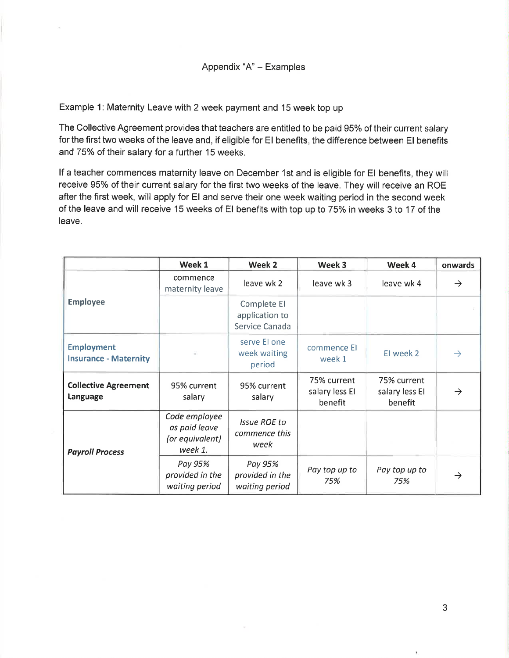Example 1: Maternity Leave with 2 week payment and 15 week top up

The Collective Agreement provides that teachers are entitled to be paid 95% of their current salary for the first two weeks of the leave and, if eligible for El benefits, the difference between El benefits and 75% of their salary for a further 15 weeks.

lf a teacher commences maternity leave on December 1st and is eligible for El benefits, they will receive 95% of their current salary for the first two weeks of the leave. They will receive an ROE after the first week, will apply for El and serve their one week waiting period in the second week of the leave and will receive 15 weeks of EI benefits with top up to 75% in weeks 3 to 17 of the leave.

|                                                   | Week 1                                                       | Week 2                                          | Week 3                                   | Week 4                                   | onwards       |
|---------------------------------------------------|--------------------------------------------------------------|-------------------------------------------------|------------------------------------------|------------------------------------------|---------------|
| <b>Employee</b>                                   | commence<br>maternity leave                                  | leave wk 2                                      | leave wk 3                               | leave wk 4                               | $\rightarrow$ |
|                                                   |                                                              | Complete El<br>application to<br>Service Canada |                                          |                                          |               |
| <b>Employment</b><br><b>Insurance - Maternity</b> |                                                              | serve El one<br>week waiting<br>period          | commence El<br>week 1                    | El week 2                                | $\rightarrow$ |
| <b>Collective Agreement</b><br>Language           | 95% current<br>salary                                        | 95% current<br>salary                           | 75% current<br>salary less El<br>benefit | 75% current<br>salary less El<br>benefit | $\rightarrow$ |
| <b>Payroll Process</b>                            | Code employee<br>as paid leave<br>(or equivalent)<br>week 1. | <b>Issue ROE to</b><br>commence this<br>week    |                                          |                                          |               |
|                                                   | Pay 95%<br>provided in the<br>waiting period                 | Pay 95%<br>provided in the<br>waiting period    | Pay top up to<br>75%                     | Pay top up to<br>75%                     | $\rightarrow$ |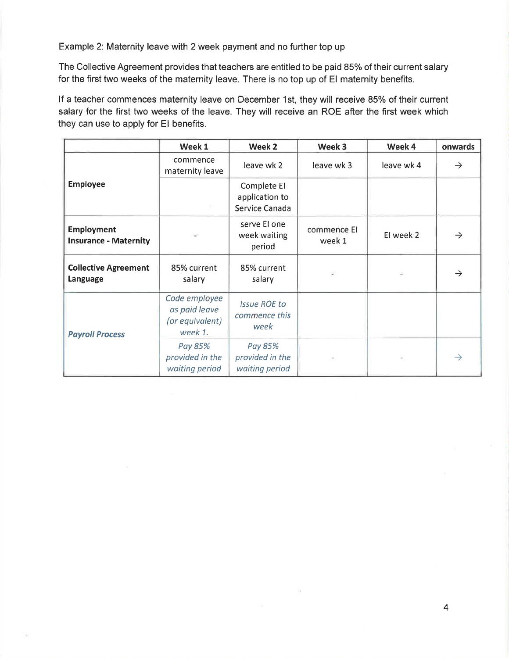Example 2: Maternity leave with 2 week payment and no further top up

The Collective Agreement provides that teachers are entitled to be paid 85% of their current salary for the first two weeks of the maternity leave. There is no top up of El maternity benefits.

If a teacher commences maternity leave on December 1st, they will receive 85% of their current salary for the first two weeks of the leave. They will receive an ROE after the first week which they can use to apply for El benefits.

|                                                   | Week 1                                                       | Week 2                                          | Week 3                | Week 4     | onwards       |
|---------------------------------------------------|--------------------------------------------------------------|-------------------------------------------------|-----------------------|------------|---------------|
| <b>Employee</b>                                   | commence<br>maternity leave                                  | leave wk 2                                      | leave wk 3            | leave wk 4 | $\rightarrow$ |
|                                                   |                                                              | Complete El<br>application to<br>Service Canada |                       |            |               |
| <b>Employment</b><br><b>Insurance - Maternity</b> |                                                              | serve El one<br>week waiting<br>period          | commence EI<br>week 1 | El week 2  | $\rightarrow$ |
| <b>Collective Agreement</b><br>Language           | 85% current<br>salary                                        | 85% current<br>salary                           | ù.                    |            | $\rightarrow$ |
| <b>Payroll Process</b>                            | Code employee<br>as paid leave<br>(or equivalent)<br>week 1. | <b>Issue ROE to</b><br>commence this<br>week    |                       |            |               |
|                                                   | Pay 85%<br>provided in the<br>waiting period                 | Pay 85%<br>provided in the<br>waiting period    |                       |            | $\rightarrow$ |